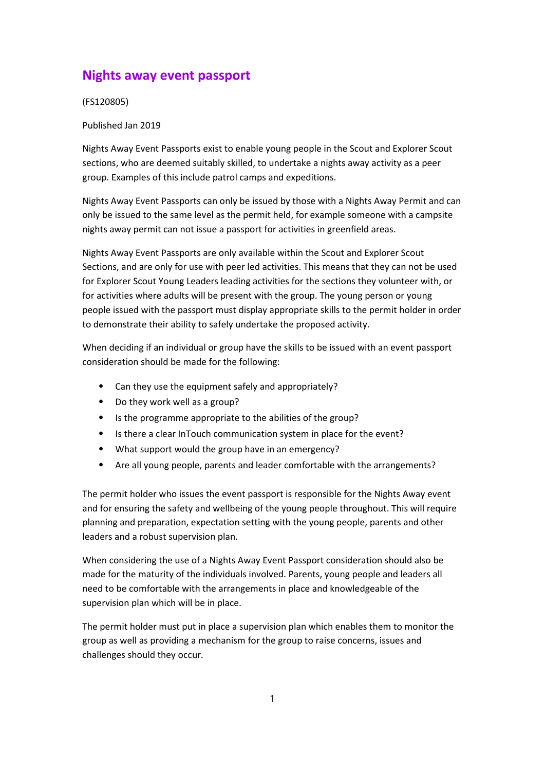# Nights away event passport

(FS120805)

Published Jan 2019

Nights Away Event Passports exist to enable young people in the Scout and Explorer Scout sections, who are deemed suitably skilled, to undertake a nights away activity as a peer group. Examples of this include patrol camps and expeditions.

Nights Away Event Passports can only be issued by those with a Nights Away Permit and can only be issued to the same level as the permit held, for example someone with a campsite nights away permit can not issue a passport for activities in greenfield areas.

Nights Away Event Passports are only available within the Scout and Explorer Scout Sections, and are only for use with peer led activities. This means that they can not be used for Explorer Scout Young Leaders leading activities for the sections they volunteer with, or for activities where adults will be present with the group. The young person or young people issued with the passport must display appropriate skills to the permit holder in order to demonstrate their ability to safely undertake the proposed activity.

When deciding if an individual or group have the skills to be issued with an event passport consideration should be made for the following:

- Can they use the equipment safely and appropriately?
- ⦁ Do they work well as a group?
- ⦁ Is the programme appropriate to the abilities of the group?
- ⦁ Is there a clear InTouch communication system in place for the event?
- ⦁ What support would the group have in an emergency?
- ⦁ Are all young people, parents and leader comfortable with the arrangements?

The permit holder who issues the event passport is responsible for the Nights Away event and for ensuring the safety and wellbeing of the young people throughout. This will require planning and preparation, expectation setting with the young people, parents and other leaders and a robust supervision plan.

When considering the use of a Nights Away Event Passport consideration should also be made for the maturity of the individuals involved. Parents, young people and leaders all need to be comfortable with the arrangements in place and knowledgeable of the supervision plan which will be in place.

The permit holder must put in place a supervision plan which enables them to monitor the group as well as providing a mechanism for the group to raise concerns, issues and challenges should they occur.